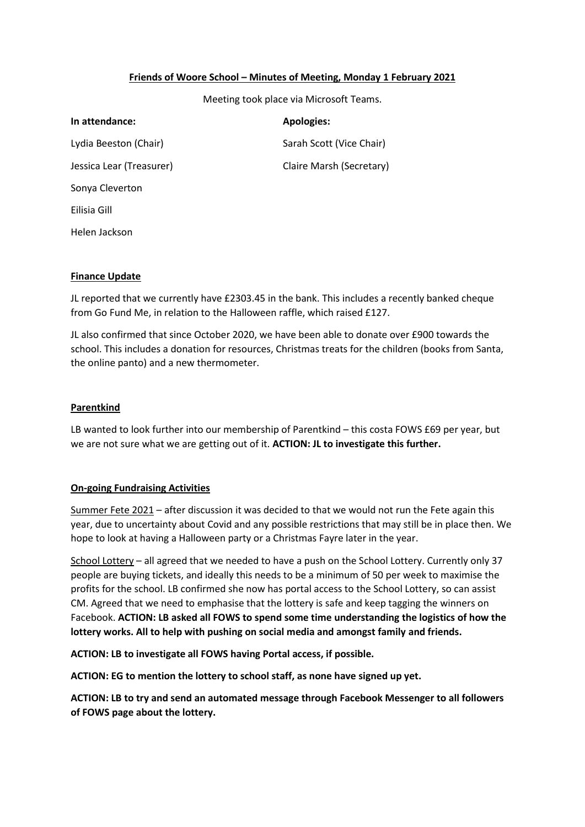# **Friends of Woore School – Minutes of Meeting, Monday 1 February 2021**

Meeting took place via Microsoft Teams.

| In attendance:           | <b>Apologies:</b>        |
|--------------------------|--------------------------|
| Lydia Beeston (Chair)    | Sarah Scott (Vice Chair) |
| Jessica Lear (Treasurer) | Claire Marsh (Secretary) |
| Sonya Cleverton          |                          |
| Eilisia Gill             |                          |
| Helen Jackson            |                          |

### **Finance Update**

JL reported that we currently have £2303.45 in the bank. This includes a recently banked cheque from Go Fund Me, in relation to the Halloween raffle, which raised £127.

JL also confirmed that since October 2020, we have been able to donate over £900 towards the school. This includes a donation for resources, Christmas treats for the children (books from Santa, the online panto) and a new thermometer.

### **Parentkind**

LB wanted to look further into our membership of Parentkind – this costa FOWS £69 per year, but we are not sure what we are getting out of it. **ACTION: JL to investigate this further.**

# **On-going Fundraising Activities**

Summer Fete 2021 - after discussion it was decided to that we would not run the Fete again this year, due to uncertainty about Covid and any possible restrictions that may still be in place then. We hope to look at having a Halloween party or a Christmas Fayre later in the year.

School Lottery – all agreed that we needed to have a push on the School Lottery. Currently only 37 people are buying tickets, and ideally this needs to be a minimum of 50 per week to maximise the profits for the school. LB confirmed she now has portal access to the School Lottery, so can assist CM. Agreed that we need to emphasise that the lottery is safe and keep tagging the winners on Facebook. **ACTION: LB asked all FOWS to spend some time understanding the logistics of how the lottery works. All to help with pushing on social media and amongst family and friends.**

**ACTION: LB to investigate all FOWS having Portal access, if possible.** 

**ACTION: EG to mention the lottery to school staff, as none have signed up yet.**

**ACTION: LB to try and send an automated message through Facebook Messenger to all followers of FOWS page about the lottery.**